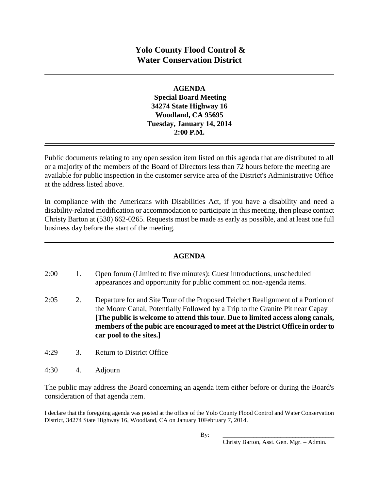**AGENDA Special Board Meeting 34274 State Highway 16 Woodland, CA 95695 Tuesday, January 14, 2014 2:00 P.M.**

Public documents relating to any open session item listed on this agenda that are distributed to all or a majority of the members of the Board of Directors less than 72 hours before the meeting are available for public inspection in the customer service area of the District's Administrative Office at the address listed above*.* 

In compliance with the Americans with Disabilities Act, if you have a disability and need a disability-related modification or accommodation to participate in this meeting, then please contact Christy Barton at (530) 662-0265. Requests must be made as early as possible, and at least one full business day before the start of the meeting.

## **AGENDA**

- 2:00 1. Open forum (Limited to five minutes): Guest introductions, unscheduled appearances and opportunity for public comment on non-agenda items. 2:05 2. Departure for and Site Tour of the Proposed Teichert Realignment of a Portion of the Moore Canal, Potentially Followed by a Trip to the Granite Pit near Capay **[The public is welcome to attend this tour. Due to limited access along canals, members of the pubic are encouraged to meet at the District Office in order to car pool to the sites.]** 4:29 3. Return to District Office
- 
- 4:30 4. Adjourn

The public may address the Board concerning an agenda item either before or during the Board's consideration of that agenda item.

I declare that the foregoing agenda was posted at the office of the Yolo County Flood Control and Water Conservation District, 34274 State Highway 16, Woodland, CA on January 10February 7, 2014.

Christy Barton, Asst. Gen. Mgr. – Admin.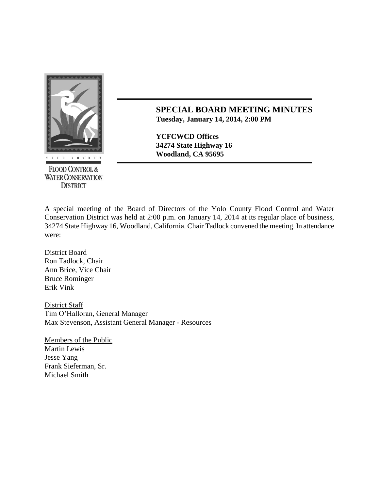

**FLOOD CONTROL & WATER CONSERVATION DISTRICT** 

**SPECIAL BOARD MEETING MINUTES Tuesday, January 14, 2014, 2:00 PM**

**YCFCWCD Offices 34274 State Highway 16**

A special meeting of the Board of Directors of the Yolo County Flood Control and Water Conservation District was held at 2:00 p.m. on January 14, 2014 at its regular place of business, 34274 State Highway 16, Woodland, California. Chair Tadlock convened the meeting. In attendance were:

District Board Ron Tadlock, Chair Ann Brice, Vice Chair Bruce Rominger Erik Vink

District Staff Tim O'Halloran, General Manager Max Stevenson, Assistant General Manager - Resources

Members of the Public Martin Lewis Jesse Yang Frank Sieferman, Sr. Michael Smith